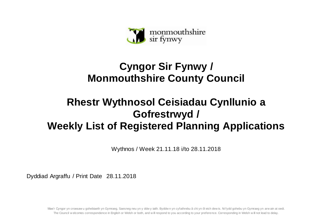

## **Cyngor Sir Fynwy / Monmouthshire County Council**

## **Rhestr Wythnosol Ceisiadau Cynllunio a Gofrestrwyd / Weekly List of Registered Planning Applications**

Wythnos / Week 21.11.18 i/to 28.11.2018

Dyddiad Argraffu / Print Date 28.11.2018

Mae'r Cyngor yn croesaw u gohebiaeth yn Gymraeg, Saesneg neu yn y ddw y iaith. Byddw n yn cyfathrebu â chi yn ôl eich dew is. Ni fydd gohebu yn Gymraeg yn arw ain at oedi. The Council w elcomes correspondence in English or Welsh or both, and w ill respond to you according to your preference. Corresponding in Welsh w ill not lead to delay.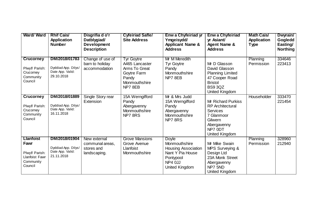| <b>Ward/ Ward</b>                                                                    | <b>Rhif Cais/</b><br><b>Application</b><br><b>Number</b>               | Disgrifia d o'r<br>Datblygiad/<br><b>Development</b><br><b>Description</b> | <b>Cyfeiriad Safle/</b><br><b>Site Address</b>                                                          | <b>Enw a Chyfeiriad yr</b><br>Ymgeisydd/<br><b>Applicant Name &amp;</b><br><b>Address</b>                                 | <b>Enw a Chyfeiriad</b><br>yr Asiant/<br><b>Agent Name &amp;</b><br><b>Address</b>                                                    | <b>Math Cais/</b><br><b>Application</b><br><b>Type</b> | Dwyrain/<br>Gogledd<br>Easting/<br><b>Northing</b> |
|--------------------------------------------------------------------------------------|------------------------------------------------------------------------|----------------------------------------------------------------------------|---------------------------------------------------------------------------------------------------------|---------------------------------------------------------------------------------------------------------------------------|---------------------------------------------------------------------------------------------------------------------------------------|--------------------------------------------------------|----------------------------------------------------|
| <b>Crucorney</b><br>Plwyf/ Parish:<br>Crucorney<br>Community<br>Council              | DM/2018/01783<br>Dyddiad App. Dilys/<br>Date App. Valid:<br>29.10.2018 | Change of use of<br>barn to holiday<br>accommodation                       | <b>Tyr Goytre</b><br>A465 Lancaster<br>Arms To Great<br>Goytre Farm<br>Pandy<br>Monmouthshire<br>NP78EB | Mr M Meredith<br><b>Tyr Goytre</b><br>Pandy<br>Monmouthshire<br>NP7 8EB                                                   | Mr D Glasson<br>David Glasson<br><b>Planning Limited</b><br>47 Cooper Road<br><b>Bristol</b><br><b>BS9 3QZ</b><br>United Kingdom      | Planning<br>Permission                                 | 334646<br>223413                                   |
| <b>Crucorney</b><br>Plwyf/ Parish:<br>Crucorney<br>Community<br>Council              | DM/2018/01889<br>Dyddiad App. Dilys/<br>Date App. Valid:<br>16.11.2018 | Single Story rear<br>Extension                                             | 15A Werngifford<br>Pandy<br>Abergavenny<br>Monmouthshire<br>NP78RS                                      | Mr & Mrs Judd<br>15A Werngifford<br>Pandy<br>Abergavenny<br>Monmouthshire<br>NP78RS                                       | Mr Richard Purkiss<br><b>RP</b> Architectural<br><b>Services</b><br>7 Glanmoor<br>Gilwern<br>Abergavenny<br>NP7 0DT<br>United Kingdom | Householder                                            | 333470<br>221454                                   |
| <b>Llanfoist</b><br>Fawr<br>Plwyf/ Parish:<br>Llanfoist Fawr<br>Community<br>Council | DM/2018/01904<br>Dyddiad App. Dilys/<br>Date App. Valid:<br>21.11.2018 | New external<br>communal areas,<br>stores and<br>landscaping.              | <b>Grove Mansions</b><br>Grove Avenue<br>Llanfoist<br>Monmouthshire                                     | <b>Doyle</b><br>Monmouthshire<br><b>Housing Association</b><br>Nant Y Pia House<br>Pontypool<br>NP4 0JJ<br>United Kingdom | Mr Mike Swain<br>MPS Surveying &<br>Design Ltd<br>23A Monk Street<br>Abergavenny<br>NP7 5ND<br>United Kingdom                         | Planning<br>Permission                                 | 328960<br>212940                                   |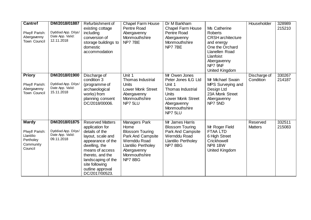| <b>Cantref</b><br>Plwyf/ Parish:<br>Abergavenny<br>Town Council                  | DM/2018/01887<br>Dyddiad App. Dilys/<br>Date App. Valid:<br>12.11.2018 | Refurbishment of<br>existing cottage<br>including<br>conversion of<br>storage buildings to<br>domestic<br>accommodation                                                                                                                      | <b>Chapel Farm House</b><br>Pentre Road<br>Abergavenny<br>Monmouthshire<br>NP7 7BE                                                                    | Dr M Barkham<br><b>Chapel Farm House</b><br>Pentre Road<br>Abergavenny<br>Monmouthshire<br>NP7 7BE                                                         | Ms Catherine<br><b>Roberts</b><br><b>CRSH</b> architecture<br>and energy<br>One the Orchard<br>Llanellen Road<br><b>Llanfoist</b><br>Abergavenny<br>NP7 9NF<br>United Kingdom | Householder                | 328989<br>215210 |
|----------------------------------------------------------------------------------|------------------------------------------------------------------------|----------------------------------------------------------------------------------------------------------------------------------------------------------------------------------------------------------------------------------------------|-------------------------------------------------------------------------------------------------------------------------------------------------------|------------------------------------------------------------------------------------------------------------------------------------------------------------|-------------------------------------------------------------------------------------------------------------------------------------------------------------------------------|----------------------------|------------------|
| <b>Priory</b><br>Plwyf/ Parish:<br>Abergavenny<br>Town Council                   | DM/2018/01900<br>Dyddiad App. Dilys/<br>Date App. Valid:<br>15.11.2018 | Discharge of<br>condition 3<br>(programme of<br>archaeological<br>works) from<br>planning consent<br>DC/2018/00006.                                                                                                                          | Unit 1<br><b>Thomas Industrial</b><br><b>Units</b><br><b>Lower Monk Street</b><br>Abergavenny<br>Monmouthshire<br>NP7 5LU                             | Mr Owen Jones<br>Peter Jones ILG Ltd<br>Unit 1<br>Thomas Industrial<br><b>Units</b><br><b>Lower Monk Street</b><br>Abergavenny<br>Monmouthshire<br>NP7 5LU | Mr Michael Swain<br>MPS Surveying and<br>Design Ltd<br>23A Monk Street<br>Abergavenny<br>NP7 5ND                                                                              | Discharge of<br>Condition  | 330267<br>214187 |
| <b>Mardy</b><br>Plwyf/ Parish:<br>Llantilio<br>Pertholey<br>Community<br>Council | DM/2018/01875<br>Dyddiad App. Dilys/<br>Date App. Valid:<br>09.11.2018 | <b>Reserved Matters</b><br>application for<br>details of the<br>layout, scale and<br>appearance of the<br>dwelling, the<br>means of access<br>thereto, and the<br>landscaping of the<br>site following<br>outline approval<br>DC/2017/00523. | Managers Park<br>Home<br><b>Blossom Touring</b><br>Park And Campsite<br>Wernddu Road<br>Llantilio Pertholey<br>Abergavenny<br>Monmouthshire<br>NP78BG | Mr James Harris<br><b>Blossom Touring</b><br>Park And Campsite<br>Wernddu Road<br><b>Llantilio Pertholey</b><br>NP78BG                                     | Mr Roger Field<br><b>FTAA LTD</b><br>6 High Street<br>Crickhowell<br>NP8 1BW<br>United Kingdom                                                                                | Reserved<br><b>Matters</b> | 332511<br>215083 |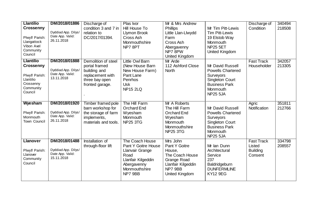| <b>Llantilio</b><br><b>Crossenny</b><br>Plwyf/ Parish:<br>Llangattock<br>Vibon Avel<br>Community                    | DM/2018/01886<br>Dyddiad App. Dilys/<br>Date App. Valid:<br>26.11.2018 | Discharge of<br>condition 3 and 7 in<br>relation to<br>DC/2017/01394.                                         | Plas Ivor<br>Hill House To<br>Llymon Brook<br>Cross Ash<br>Monmouthshire<br>NP78PT                                                 | Mr & Mrs Andrew<br><b>Phillips</b><br>Little Llan-Llwydd<br>Farm<br>Cross Ash<br>Abergavenny<br>NP7 8PW                  | Mr Tim Pitt-Lewis<br><b>Tim Pitt-Lewis</b><br>19 Elstob Way<br>Monmouth<br><b>NP25 5ET</b><br>United Kingdom                               | Discharge of<br>Condition                                 | 340494<br>218508 |
|---------------------------------------------------------------------------------------------------------------------|------------------------------------------------------------------------|---------------------------------------------------------------------------------------------------------------|------------------------------------------------------------------------------------------------------------------------------------|--------------------------------------------------------------------------------------------------------------------------|--------------------------------------------------------------------------------------------------------------------------------------------|-----------------------------------------------------------|------------------|
| Council<br><b>Llantilio</b><br><b>Crossenny</b><br>Plwyf/ Parish:<br>Llantilio<br>Crossenny<br>Community<br>Council | DM/2018/01888<br>Dyddiad App. Dilys/<br>Date App. Valid:<br>13.11.2018 | Demolition of steel<br>portal framed<br>building and<br>replacement with<br>three bay open<br>fronted garage. | <b>Little Owl Barn</b><br>(New House Barn<br>New House Farm)<br>Pant Lane<br>Penrhos<br><b>Usk</b><br><b>NP15 2LQ</b>              | United Kingdom<br>Mr Arde<br>112 Ashford Close<br><b>North</b>                                                           | Mr David Russell<br><b>Powells Chartered</b><br>Surveyors<br><b>Singleton Court</b><br><b>Business Park</b><br>Monmouth<br><b>NP25 5JA</b> | <b>Fast Track</b><br>Householder                          | 342057<br>213305 |
| Wyesham<br>Plwyf/ Parish:<br>Monmouth<br>Town Council                                                               | DM/2018/01920<br>Dyddiad App. Dilys/<br>Date App. Valid:<br>26.11.2018 | Timber framed pole<br>barn workshop for<br>the storage of farm<br>implements,<br>materials and tools.         | The Hill Farm<br>Orchard End<br>Wyesham<br>Monmouth<br><b>NP25 3TG</b>                                                             | Mr A Roberts<br>The Hill Farm<br><b>Orchard End</b><br>Wyesham<br>Monmouth<br>Monmouthshire<br><b>NP25 3TG</b>           | Mr David Russell<br><b>Powells Chartered</b><br>Surveyors<br><b>Singleton Court</b><br><b>Business Park</b><br>Monmouth<br><b>NP25 5JA</b> | Agric<br>Notification                                     | 351811<br>212766 |
| <b>Llanover</b><br>Plwyf/ Parish:<br>Llanover<br>Community<br>Council                                               | DM/2018/01488<br>Dyddiad App. Dilys/<br>Date App. Valid:<br>15.11.2018 | Installation of<br>through-floor lift                                                                         | The Coach House<br>Pant Y Goitre House<br>Llanvair Grange<br>Road<br>Llanfair Kilgeddin<br>Abergavenny<br>Monmouthshire<br>NP7 9BB | Mrs John<br>Pant Y Goitre<br>House,<br>The Coach House<br>Grange Road<br>Llanfair Kilgeddin<br>NP7 9BB<br>United Kingdom | Mr Ian Dunn<br>Architectural<br>Service<br>237<br>Baldridgeburn<br><b>DUNFERMLINE</b><br><b>KY12 9EG</b>                                   | <b>Fast Track</b><br>Listed<br><b>Building</b><br>Consent | 334798<br>208557 |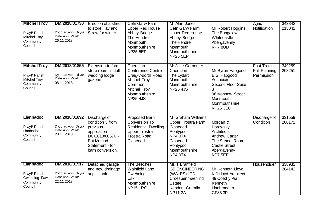| <b>Mitchel Troy</b><br>Plwyf/ Parish:<br><b>Mitchel Troy</b><br>Community<br>Council | DM/2018/01730<br>Dyddiad App. Dilys/<br>Date App. Valid:<br>26.11.2018 | Erection of a shed<br>to store Hay and<br>Straw for winter.                                                                                | Cefn Garw Farm<br><b>Upper Red House</b><br>Abbey Bridge<br>The Hendre<br>Monmouth<br>Monmouthshire<br><b>NP25 5EP</b>                    | Mr Alan Jones<br>Cefn Garw Farm<br><b>Upper Red House</b><br>Abbey Bridge<br>The Hendre<br>Monmouth<br>Monmouthshire<br><b>NP25 5EP</b>  | Mr Robert Hoggins<br>The Bungalow<br>Whitecastle<br>Abergavenny<br>NP7 8UD                                                                      | Agric<br>Notification                                   | 343842<br>213042 |
|--------------------------------------------------------------------------------------|------------------------------------------------------------------------|--------------------------------------------------------------------------------------------------------------------------------------------|-------------------------------------------------------------------------------------------------------------------------------------------|------------------------------------------------------------------------------------------------------------------------------------------|-------------------------------------------------------------------------------------------------------------------------------------------------|---------------------------------------------------------|------------------|
| <b>Mitchel Troy</b><br>Plwyf/ Parish:<br><b>Mitchel Troy</b><br>Community<br>Council | DM/2018/01855<br>Dyddiad App. Dilys/<br>Date App. Valid:<br>08.11.2018 | Extension to form<br>store room. Install<br>wedding lodge<br>gazebo.                                                                       | Caer Llan<br><b>Conference Centre</b><br>Craig-y-dorth Road<br>Mitchel Troy<br>Common<br>Mitchel Troy<br>Monmouthshire<br><b>NP25 4JS</b> | Mr Jake Carpenter<br>Caer Llan<br>The Lydart<br>Monmouth<br>Monmouthshire<br><b>NP25 4JS</b>                                             | Mr Byron Hapgood<br>B.S. Hapgood<br>Associates<br><b>Second Floor Suite</b><br>96 Monnow Street<br>Monmouth<br>Monmouthshire<br><b>NP25 3EQ</b> | <b>Fast Track</b><br><b>Full Planning</b><br>Permission | 349259<br>208251 |
| <b>Llanbadoc</b><br>Plwyf/ Parish:<br>Llanbadoc<br>Community<br>Council              | DM/2018/01892<br>Dyddiad App. Dilys/<br>Date App. Valid:<br>28.11.2018 | Discharge of<br>condition 5 from<br>previous<br>application<br>DC/2013/00676 -<br><b>Bat Method</b><br>Statement - for<br>barn conversion. | <b>Proposed Barn</b><br>Conversion To<br><b>Residential Dwelling</b><br><b>Upper Trostra</b><br><b>Trostra Road</b><br>Glascoed           | Mr Graham Williams<br><b>Upper Trostra Farm</b><br>Glascoed<br>Pontypool<br>NP4 OTX<br>Glascoed<br>Pontypool<br>Monmouthshire<br>NP4 0TX | Morgan &<br>Horowskyj<br>Architects<br><b>Andrew Carter</b><br>The School Room<br><b>Castle Street</b><br>Abergavenny<br>NP7 5EE                | Discharge of<br>Condition                               | 331559<br>200171 |
| <b>Llanbadoc</b><br>Plwyf/ Parish:<br>Gwehelog Fawr<br>Community<br>Council          | DM/2018/01917<br>Dyddiad App. Dilys/<br>Date App. Valid:<br>22.11.2018 | Detached garage<br>and new drainage<br>septic tank                                                                                         | The Beeches<br><b>Wainfield Lane</b><br>Gwehelog<br><b>Usk</b><br>Monmouthshire<br><b>NP15 1RG</b>                                        | Ms T Branfield<br><b>GB ENGINEERING</b><br>(WALES) LTD<br>Croespenmaen Ind<br>Estate<br>Kendon, Crumlin<br><b>NP11 3A</b>                | Mr Kenneth Lloyd<br>K J Lloyd Architect<br>49 Coed y Pia<br>Kenneth<br>Llanbradach<br><b>CF83 3P</b>                                            | Householder                                             | 338932<br>204142 |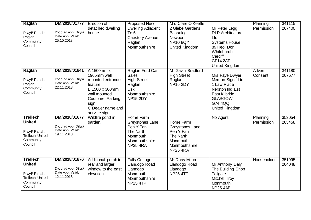| Raglan<br>Plwyf/ Parish:<br>Raglan<br>Community<br>Council                                           | DM/2018/01777<br>Dyddiad App. Dilys/<br>Date App. Valid:<br>25.10.2018 | Erection of<br>detached dwelling<br>house.                                                                                                                         | <b>Proposed New</b><br>Dwelling Adjacent<br>To 6<br><b>Caestory Avenue</b><br>Raglan<br>Monmouthshire             | Mrs Clare O'Keeffe<br>2 Glebe Gardens<br><b>Bassaleg</b><br>Newport<br><b>NP10 8QY</b><br>United Kingdom | Mr Peter Legg<br><b>DLP</b> Architecture<br>Ltd<br><b>Systems House</b><br>89 Heol Don<br>Whitchurch<br>Cardiff<br>CF14 2AT<br>United Kingdom | Planning<br>Permission | 341115<br>207400 |
|------------------------------------------------------------------------------------------------------|------------------------------------------------------------------------|--------------------------------------------------------------------------------------------------------------------------------------------------------------------|-------------------------------------------------------------------------------------------------------------------|----------------------------------------------------------------------------------------------------------|-----------------------------------------------------------------------------------------------------------------------------------------------|------------------------|------------------|
| Raglan<br>Plwyf/ Parish:<br>Raglan<br>Community<br>Council                                           | DM/2018/01841<br>Dyddiad App. Dilys/<br>Date App. Valid:<br>22.11.2018 | A 1500mm x<br>1965mm wall<br>mounted entrance<br>feature<br>B 1500 x 300mm<br>wall mounted<br><b>Customer Parking</b><br>sign<br>C Dealer name and<br>service sign | Raglan Ford Car<br><b>Sales</b><br><b>High Street</b><br>Raglan<br><b>Usk</b><br>Monmouthshire<br><b>NP15 2DY</b> | Mr Gavin Bradford<br><b>High Street</b><br>Raglan<br><b>NP15 2DY</b>                                     | Mrs Faye Dwyer<br>Merson Signs Ltd<br>1 Law Place<br>Nerston Ind Est<br>East Kilbride<br><b>GLASGOW</b><br>G74 4QQ<br>United Kingdom          | Advert<br>Consent      | 341180<br>207677 |
| <b>Trellech</b><br><b>United</b><br>Plwyf/ Parish:<br><b>Trellech United</b><br>Community<br>Council | DM/2018/01677<br>Dyddiad App. Dilys/<br>Date App. Valid:<br>19.11.2018 | Wildlife pond in<br>garden.                                                                                                                                        | Home Farm<br>Greystones Lane<br>Pen Y Fan<br>The Narth<br>Monmouth<br>Monmouthshire<br><b>NP25 4RA</b>            | Home Farm<br>Greystones Lane<br>Pen Y Fan<br>The Narth<br>Monmouth<br>Monmouthshire<br><b>NP25 4RA</b>   | No Agent                                                                                                                                      | Planning<br>Permission | 353054<br>205458 |
| <b>Trellech</b><br><b>United</b><br>Plwyf/ Parish:<br><b>Trellech United</b><br>Community<br>Council | DM/2018/01876<br>Dyddiad App. Dilys/<br>Date App. Valid:<br>12.11.2018 | Additional porch to<br>rear and larger<br>window to the east<br>elevation.                                                                                         | <b>Falls Cottage</b><br>Llandogo Road<br>Llandogo<br>Monmouth<br>Monmouthshire<br><b>NP25 4TP</b>                 | <b>Mr Drew Moore</b><br>Llandogo Road<br>Llandogo<br><b>NP25 4TP</b>                                     | Mr Anthony Daly<br>The Building Shop<br>Tollgate<br><b>Mitchel Troy</b><br>Monmouth<br><b>NP25 4AB</b>                                        | Householder            | 351995<br>204048 |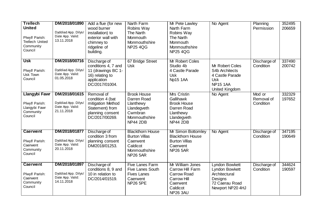| <b>Trellech</b><br><b>United</b><br>Plwyf/ Parish:<br><b>Trellech United</b><br>Community<br>Council | DM/2018/01890<br>Dyddiad App. Dilys/<br>Date App. Valid:<br>13.11.2018 | Add a flue (for new<br>wood burner<br>installation) to<br>exterior wall with<br>chimney to<br>ridgeline of<br>building. | Narth Farm<br>Robins Way<br>The Narth<br>Monmouth<br>Monmouthshire<br><b>NP25 4QG</b>                        | Mr Pete Lawley<br>Narth Farm<br>Robins Way<br><b>The Narth</b><br>Monmouth<br>Monmouthshire<br><b>NP25 4QG</b>              | No Agent                                                                                                       | Planning<br>Permission            | 352495<br>206659 |
|------------------------------------------------------------------------------------------------------|------------------------------------------------------------------------|-------------------------------------------------------------------------------------------------------------------------|--------------------------------------------------------------------------------------------------------------|-----------------------------------------------------------------------------------------------------------------------------|----------------------------------------------------------------------------------------------------------------|-----------------------------------|------------------|
| <b>Usk</b><br>Plwyf/ Parish:<br>Usk Town<br>Council                                                  | DM/2018/00716<br>Dyddiad App. Dilys/<br>Date App. Valid:<br>01.05.2018 | Discharge of<br>conditions 4, 7 and<br>11 (drawings BC 1-<br>16) relating to<br>application<br>DC/2017/01004.           | 67 Bridge Street<br><b>Usk</b>                                                                               | Mr Robert Coles<br>Studio 4b<br>4 Castle Parade<br><b>Usk</b><br>Np15 1AA                                                   | Mr Robert Coles<br>S4b Architects<br>4 Castle Parade<br><b>Usk</b><br><b>NP15 1AA</b><br><b>United Kingdom</b> | Discharge of<br>Condition         | 337490<br>200742 |
| <b>Llangybi Fawr</b><br>Plwyf/ Parish:<br>Llangybi Fawr<br>Community<br>Council                      | DM/2018/01615<br>Dyddiad App. Dilys/<br>Date App. Valid:<br>21.11.2018 | Removal of<br>condition 4 (bat<br>mitigation Method<br>Statement) from<br>planning consent<br>DC/2017/00269.            | <b>Brook House</b><br>Darren Road<br>Llanthewy<br>Llandegveth<br>Cwmbran<br>Monmouthshire<br><b>NP44 2DB</b> | <b>Mrs Cristin</b><br>Gallihawk<br><b>Brook House</b><br>Darren Road<br>Llanthewy<br>Llandegveth<br><b>NP44 2DB</b>         | No Agent                                                                                                       | Mod or<br>Removal of<br>Condition | 332329<br>197652 |
| <b>Caerwent</b><br>Plwyf/ Parish:<br>Caerwent<br>Community<br>Council                                | DM/2018/01877<br>Dyddiad App. Dilys/<br>Date App. Valid:<br>20.11.2018 | Discharge of<br>condition 3 from<br>planning consent<br>DM/2018/01253.                                                  | <b>Blackthorn House</b><br><b>Burton Villas</b><br>Caerwent<br>Caldicot<br>Monmouthshire<br><b>NP26 5AR</b>  | Mr Simon Bottomley<br><b>Blackthorn House</b><br><b>Burton Villas</b><br>Caerwent<br><b>NP26 5AR</b>                        | No Agent                                                                                                       | Discharge of<br>Condition         | 347195<br>190649 |
| <b>Caerwent</b><br>Plwyf/ Parish:<br>Caerwent<br>Community<br>Council                                | DM/2018/01897<br>Dyddiad App. Dilys/<br>Date App. Valid:<br>14.11.2018 | Discharge of<br>conditions 8, 9 and<br>10 in relation to<br>DC/2014/01519.                                              | <b>Five Lanes Farm</b><br><b>Five Lanes South</b><br><b>Fives Lanes</b><br>Caerwent<br><b>NP26 5PE</b>       | Mr William Jones<br>Carrow Hill Farm<br><b>Carrow Road</b><br><b>Carrow Hill</b><br>Caerwent<br>Caldicot<br><b>NP26 3AU</b> | Lyndon Bowkett<br>Lyndon Bowkett<br>Architectural<br>Designs<br>72 Caerau Road<br>Newport NP20 4HJ             | Discharge of<br>Condition         | 344624<br>190597 |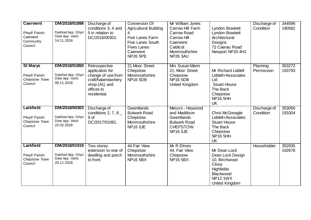| <b>Caerwent</b><br>Plwyf/ Parish:<br>Caerwent<br>Community<br>Council | DM/2018/01898<br>Dyddiad App. Dilys/<br>Date App. Valid:<br>14.11.2018 | Discharge of<br>conditions 3, 4 and<br>5 in relation to<br>DC/2016/00301.                                                   | Conversion Of<br><b>Agricultural Building</b><br>Five Lanes Farm<br><b>Five Lanes South</b><br><b>Fives Lanes</b><br>Caerwent<br><b>NP26 5PE</b> | Mr William Jones<br>Carrow Hill Farm<br><b>Carrow Road</b><br><b>Carrow Hill</b><br>Caerwent<br>Caldicot<br>Monmouthshire<br><b>NP26 3AU</b> | Lyndon Bowkett<br>Lyndon Bowkett<br>Architectural<br>Designs<br>72 Caerau Road<br>Newport NP20 4HJ                                | Discharge of<br>Condition | 344596<br>190582 |
|-----------------------------------------------------------------------|------------------------------------------------------------------------|-----------------------------------------------------------------------------------------------------------------------------|--------------------------------------------------------------------------------------------------------------------------------------------------|----------------------------------------------------------------------------------------------------------------------------------------------|-----------------------------------------------------------------------------------------------------------------------------------|---------------------------|------------------|
| <b>St Marys</b><br>Plwyf/ Parish:<br>Chepstow Town<br>Council         | DM/2018/01850<br>Dyddiad App. Dilys/<br>Date App. Valid:<br>06.11.2018 | Retrospective<br>application for<br>change of use from<br>craft/haberdashery<br>shop (A1) and<br>offices to<br>residential. | 21 Moor Street<br>Chepstow<br>Monmouthshire<br><b>NP16 5DB</b>                                                                                   | Mrs Susan Mann<br>21, Moor Street<br>Chepstow<br><b>NP16 5DB</b><br>United Kingdom                                                           | Mr Richard Liddell<br>Liddell+Associates<br>Ltd<br><b>Stuart House</b><br>The Back<br>Chepstow<br><b>NP16 5HH</b><br><b>UK</b>    | Planning<br>Permission    | 353272<br>193793 |
| Larkfield<br>Plwyf/ Parish:<br>Chepstow Town<br>Council               | DM/2018/00303<br>Dyddiad App. Dilys/<br>Date App. Valid:<br>22.02.2018 | Discharge of<br>conditions 2, 7, 8 $-$<br>9 of<br>DC/2017/01081.                                                            | Gwentlands<br><b>Bulwark Road</b><br>Chepstow<br>Monmouthshire<br><b>NP16 5JE</b>                                                                | Messrs - Heywood<br>and Maddison<br>Gwentlands<br><b>Bulwark Road</b><br><b>CHEPSTOW</b><br><b>NP16 5JE</b>                                  | Chris McGonagle<br>Liddell+Associates<br><b>Stuart House</b><br>The Back<br>Chepstow<br><b>NP16 5HH</b><br><b>UK</b>              | Discharge of<br>Condition | 353056<br>193304 |
| Larkfield<br>Plwyf/ Parish:<br>Chepstow Town<br>Council               | DM/2018/01919<br>Dyddiad App. Dilys/<br>Date App. Valid:<br>25.11.2018 | Two storey<br>extension to rear of<br>dwelling and porch<br>to front                                                        | 44 Fair View<br>Chepstow<br>Monmouthshire<br><b>NP16 5BX</b>                                                                                     | Mr R Elmes<br>44, Fair View<br>Chepstow<br><b>NP16 5BX</b>                                                                                   | Mr Dean Lock<br>Dean Lock Design<br>10, Birchwood<br>Close<br><b>Highfields</b><br>Blackwood<br><b>NP12 1WX</b><br>United Kingdom | Householder               | 352935<br>192678 |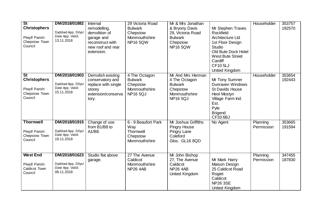| St<br><b>Christophers</b><br>Plwyf/ Parish:<br>Chepstow Town<br>Council | DM/2018/01882<br>Dyddiad App. Dilys/<br>Date App. Valid:<br>13.11.2018 | Internal<br>remodelling,<br>demolition of<br>garage and<br>reconstruct with<br>new roof and rear<br>extension. | 29 Victoria Road<br><b>Bulwark</b><br>Chepstow<br>Monmouthshire<br><b>NP16 5QW</b> | Mr & Mrs Jonathan<br>& Bryony Davis<br>29, Victoria Road<br><b>Bulwark</b><br>Chepstow<br><b>NP16 5QW</b> | Mr Stephen Traves<br>Rockfield<br><b>Architecture Ltd</b><br>1st Floor Design<br><b>Studio</b><br>Old Bute Dock Hotel<br><b>West Bute Street</b><br>Cardiff<br><b>CF105LJ</b><br>United Kingdom | Householder            | 353757<br>192570 |
|-------------------------------------------------------------------------|------------------------------------------------------------------------|----------------------------------------------------------------------------------------------------------------|------------------------------------------------------------------------------------|-----------------------------------------------------------------------------------------------------------|-------------------------------------------------------------------------------------------------------------------------------------------------------------------------------------------------|------------------------|------------------|
| St<br><b>Christophers</b><br>Plwyf/ Parish:<br>Chepstow Town<br>Council | DM/2018/01903<br>Dyddiad App. Dilys/<br>Date App. Valid:<br>15.11.2018 | Demolish existing<br>conservatory and<br>replace with single<br>storey<br>extension/conserva<br>tory.          | 4 The Octagon<br><b>Bulwark</b><br>Chepstow<br>Monmouthshire<br><b>NP165QJ</b>     | Mr And Mrs Herman<br>4 The Octagon<br><b>Bulwark</b><br>Chepstow<br>Monmouthshire<br><b>NP16 5QJ</b>      | Mr Tony Sumner<br>Dunraven Windows<br><b>St Davids House</b><br>Heol Mostyn<br>Village Farm Ind.<br>Est.<br>Pyle<br><b>Brigend</b><br>CF33 6BJ                                                  | Householder            | 353654<br>192443 |
| <b>Thornwell</b><br>Plwyf/ Parish:<br>Chepstow Town<br>Council          | DM/2018/01915<br>Dyddiad App. Dilys/<br>Date App. Valid:<br>19.11.2018 | Change of use<br>from B1/B8 to<br>A1/B8.                                                                       | 6 - 9 Beaufort Park<br>Way<br>Thornwell<br>Chepstow<br>Monmouthshire               | Mr Joshua Griffiths<br><b>Pingry House</b><br>Pingry Lane<br>Coleford<br>Glos. GL16 8QD                   | No Agent                                                                                                                                                                                        | Planning<br>Permission | 353665<br>191594 |
| <b>West End</b><br>Plwyf/ Parish:<br>Caldicot Town<br>Council           | DM/2018/01623<br>Dyddiad App. Dilys/<br>Date App. Valid:<br>08.11.2018 | Studio flat above<br>garage.                                                                                   | 27 The Avenue<br>Caldicot<br>Monmouthshire<br>NP <sub>26</sub> 4AB                 | Mr John Bishop<br>27, The Avenue<br>Caldicot<br><b>NP26 4AB</b><br>United Kingdom                         | Mr Mark Harry<br>Maison Design<br>25 Caldicot Road<br>Rogiet<br>Caldicot<br><b>NP26 3SE</b><br><b>United Kingdom</b>                                                                            | Planning<br>Permission | 347455<br>187830 |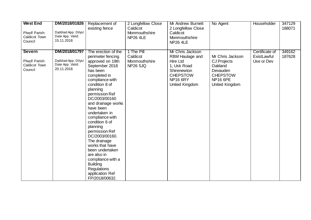| <b>West End</b><br>Plwyf/ Parish:<br>Caldicot Town<br>Council | DM/2018/01826<br>Dyddiad App. Dilys/<br>Date App. Valid:<br>15.11.2018 | Replacement of<br>existing fence                                                                                                                                                                                                                                                                                                                                                                                                                                                                         | 2 Longfellow Close<br>Caldicot<br>Monmouthshire<br><b>NP26 4LE</b> | Mr Andrew Burnett<br>2 Longfellow Close<br>Caldicot<br>Monmouthshire<br><b>NP26 4LE</b>                                               | No Agent                                                                                                              | Householder                                 | 347129<br>188071 |
|---------------------------------------------------------------|------------------------------------------------------------------------|----------------------------------------------------------------------------------------------------------------------------------------------------------------------------------------------------------------------------------------------------------------------------------------------------------------------------------------------------------------------------------------------------------------------------------------------------------------------------------------------------------|--------------------------------------------------------------------|---------------------------------------------------------------------------------------------------------------------------------------|-----------------------------------------------------------------------------------------------------------------------|---------------------------------------------|------------------|
| <b>Severn</b><br>Plwyf/ Parish:<br>Caldicot Town<br>Council   | DM/2018/01797<br>Dyddiad App. Dilys/<br>Date App. Valid:<br>20.11.2018 | The erection of the<br>perimeter fencing<br>approved on 19th<br>September 2018<br>has been<br>completed in<br>compliance with<br>condition 8 of<br>planning<br>permission Ref<br>DC/2003/00160<br>and drainage works<br>have been<br>undertaken in<br>compliance with<br>condition 6 of<br>planning<br>permission Ref<br>DC/2003/00160.<br>The drainage<br>works that have<br>been undertaken<br>are also in<br>compliance with a<br><b>Building</b><br>Regulations<br>application Ref<br>FP/2018/00632. | 1 The Pill<br>Caldicot<br>Monmouthshire<br><b>NP26 5JQ</b>         | Mr Chris Jackson<br>RBM Haulage and<br>Hire Ltd<br>1, Usk Road<br>Shirenewton<br><b>CHEPSTOW</b><br><b>NP16 6RY</b><br>United Kingdom | Mr Chris Jackson<br><b>CJ Projects</b><br>Oakland<br>Devauden<br><b>CHEPSTOW</b><br><b>NP16 6PE</b><br>United Kingdom | Certificate of<br>ExistLawful<br>Use or Dev | 349162<br>187628 |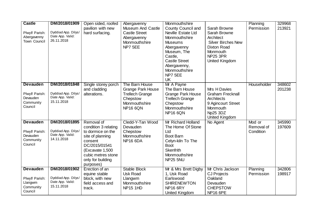| <b>Castle</b>        | DM/2018/01909                           | Open sided, roofed   | Abergavenny              | Monmouthshire             |                           | Planning    | 329968 |
|----------------------|-----------------------------------------|----------------------|--------------------------|---------------------------|---------------------------|-------------|--------|
|                      |                                         | pavilion with new    | <b>Museum And Castle</b> | <b>County Council and</b> | Sarah Browne              | Permission  | 213921 |
| Plwyf/ Parish:       | Dyddiad App. Dilys/                     | hard surfacing.      | <b>Castle Street</b>     | Neville Estate Ltd        | Sarah Browne              |             |        |
| Abergavenny          | Date App. Valid:                        |                      | Abergavenny              | Monmouthshire             | Architect                 |             |        |
| Town Council         | 26.11.2018                              |                      | Monmouthshire            | <b>Museums</b>            | <b>Silver Birches New</b> |             |        |
|                      |                                         |                      | NP7 5EE                  | Abergavenny               | <b>Dixton Road</b>        |             |        |
|                      |                                         |                      |                          | Museum, The               | Monmouth                  |             |        |
|                      |                                         |                      |                          | Castle,                   | <b>NP25 3PR</b>           |             |        |
|                      |                                         |                      |                          | <b>Castle Street</b>      | United Kingdom            |             |        |
|                      |                                         |                      |                          | Abergavenny,              |                           |             |        |
|                      |                                         |                      |                          | Monmouthshire             |                           |             |        |
|                      |                                         |                      |                          | NP7 5EE                   |                           |             |        |
|                      |                                         |                      |                          | <b>UK</b>                 |                           |             |        |
| <b>Devauden</b>      | DM/2018/01848                           | Single storey porch  | The Barn House           | Mr A Payne                |                           | Householder | 348602 |
|                      |                                         | and cladding         | <b>Grange Park House</b> | The Barn House            | Mrs H Davies              |             | 201238 |
| Plwyf/ Parish:       | Dyddiad App. Dilys/                     | alterations.         | <b>Trellech Grange</b>   | <b>Grange Park House</b>  | <b>Graham Frecknall</b>   |             |        |
| Devauden             | Date App. Valid:                        |                      | Chepstow                 | <b>Trellech Grange</b>    | Architects                |             |        |
| Community            | 15.11.2018                              |                      | Monmouthshire            | Chepstow                  | 9 Agincourt Street        |             |        |
| Council              |                                         |                      | <b>NP16 6QN</b>          | Monmouthshire             | Monmouth                  |             |        |
|                      |                                         |                      |                          | <b>NP16 6QN</b>           | Np25 3DZ                  |             |        |
|                      |                                         |                      |                          |                           | <b>United Kingdom</b>     |             |        |
| <b>Devauden</b>      | DM/2018/01895                           | Removal of           | Cledd-Y-Tan Wood         | Mr Richard Holland        | No Agent                  | Mod or      | 345990 |
|                      |                                         | condition 3 relating | Devauden                 | The Home Of Stone         |                           | Removal of  | 197609 |
| Plwyf/ Parish:       | Dyddiad App. Dilys/<br>Date App. Valid: | to dormice on the    | Chepstow                 | Ltd                       |                           | Condition   |        |
| Devauden             | 14.11.2018                              | site of planning     | Monmouthshire            | Boot Barn                 |                           |             |        |
| Community<br>Council |                                         | consent              | <b>NP16 6DA</b>          | Celyn-kiln To The         |                           |             |        |
|                      |                                         | DC/2015/01541        |                          | <b>Boot</b>               |                           |             |        |
|                      |                                         | (Excavate 1,500      |                          | <b>Skenfrith</b>          |                           |             |        |
|                      |                                         | cubic metres stone   |                          | Monmouthshire             |                           |             |        |
|                      |                                         | only for building    |                          | NP25 5NU                  |                           |             |        |
|                      |                                         | purposes)            |                          |                           |                           |             |        |
| <b>Devauden</b>      | DM/2018/01902                           | Erection of an       | <b>Stable Block</b>      | Mr & Mrs Brett Digby      | Mr Chris Jackson          | Planning    | 342806 |
|                      |                                         | equine stable        | <b>Usk Road</b>          | 1, Usk Road               | <b>CJ Projects</b>        | Permission  | 198917 |
| Plwyf/ Parish:       | Dyddiad App. Dilys/<br>Date App. Valid: | block, with new      | Llangwm                  | Earlswood                 | Oakland                   |             |        |
| Llangwm<br>Community | 15.11.2018                              | field access and     | Monmouthshire            | <b>SHIRENEWTON</b>        | Devauden                  |             |        |
| Council              |                                         | track.               | NP15 1HD                 | <b>NP16 6RY</b>           | <b>CHEPSTOW</b>           |             |        |
|                      |                                         |                      |                          | <b>United Kingdom</b>     | <b>NP16 6PE</b>           |             |        |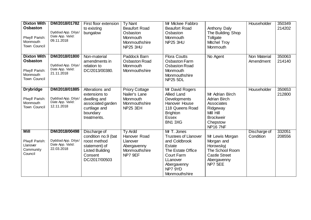| <b>Dixton With</b><br><b>Osbaston</b><br>Plwyf/ Parish:<br>Monmouth<br>Town Council | DM/2018/01782<br>Dyddiad App. Dilys/<br>Date App. Valid:<br>09.11.2018 | First floor extension<br>to existing<br>bungalow                                                                           | <b>Ty Nant</b><br><b>Beaufort Road</b><br>Osbaston<br>Monmouth<br>Monmouthshire<br>NP25 3HU | Mr Mickee Fabbro<br><b>Beaufort Road</b><br>Osbaston<br>Monmouth<br>NP25 3HU                                                                                           | Anthony Daly<br>The Building Shop<br>Tollgate<br><b>Mitchel Troy</b><br>Monmouth                                                 | Householder               | 350349<br>214202 |
|-------------------------------------------------------------------------------------|------------------------------------------------------------------------|----------------------------------------------------------------------------------------------------------------------------|---------------------------------------------------------------------------------------------|------------------------------------------------------------------------------------------------------------------------------------------------------------------------|----------------------------------------------------------------------------------------------------------------------------------|---------------------------|------------------|
| <b>Dixton With</b><br><b>Osbaston</b><br>Plwyf/ Parish:<br>Monmouth<br>Town Council | DM/2018/01800<br>Dyddiad App. Dilys/<br>Date App. Valid:<br>21.11.2018 | Non-material<br>amendments in<br>relation to<br>DC/2013/00380.                                                             | Paddock Barn<br><b>Osbaston Road</b><br>Monmouth<br>Monmouthshire                           | <b>Flora Coutts</b><br><b>Osbaston Farm</b><br><b>Osbaston Road</b><br>Monmouth<br>Monmouthshire<br><b>NP25 5DL</b>                                                    | No Agent                                                                                                                         | Non Material<br>Amendment | 350063<br>214140 |
| <b>Drybridge</b><br>Plwyf/ Parish:<br>Monmouth<br>Town Council                      | DM/2018/01885<br>Dyddiad App. Dilys/<br>Date App. Valid:<br>12.11.2018 | Alterations and<br>extensions to<br>dwelling and<br>associated garden<br>curtilage and<br>boundary<br>treatments.          | <b>Priory Cottage</b><br>Nailer's Lane<br>Monmouth<br>Monmouthshire<br><b>NP25 3EH</b>      | Mr David Rogers<br>Allied Land<br>Developments<br>Hanover House<br>118 Queens Road<br><b>Brighton</b><br><b>Essex</b><br>BN1 3XG                                       | Mr Adrian Birch<br><b>Adrian Birch</b><br>Associates<br>Ridgeway<br>Mill Hill<br><b>Brockweir</b><br>Chepstow<br><b>NP16 7NF</b> | Householder               | 350653<br>212800 |
| Mill<br>Plwyf/ Parish:<br>Llanover<br>Community<br>Council                          | DM/2018/00498<br>Dyddiad App. Dilys/<br>Date App. Valid:<br>22.03.2018 | Discharge of<br>condition no.9 (bat<br>roost method<br>statement) of<br><b>Listed Building</b><br>Consent<br>DC/2017/00503 | Ty Ardd<br>Hanover Road<br>Llanover<br>Abergavenny<br>Monmouthshire<br>NP7 9EF              | Mr T. Jones<br><b>Trustees of Llanover</b><br>and Coldbrook<br>Estate<br>The Estate Office<br><b>Court Farm</b><br>LLanover<br>Abergavenny<br>NP7 9YD<br>Monmouthshire | Mr Lewis Morgan<br>Morgan and<br>Horowskyi<br>The School Room<br><b>Castle Street</b><br>Abergavenny<br>NP7 5EE                  | Discharge of<br>Condition | 332051<br>208556 |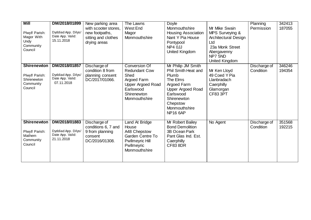| Mill<br>Plwyf/ Parish:<br>Magor With<br>Undy<br>Community<br>Council        | DM/2018/01899<br>Dyddiad App. Dilys/<br>Date App. Valid:<br>15.11.2018 | New parking area<br>with scooter stores,<br>new footpaths,<br>sitting and clothes<br>drying areas | <b>The Lawns</b><br>West End<br>Magor<br>Monmouthshire                                                                                | <b>Doyle</b><br>Monmouthshire<br><b>Housing Association</b><br>Nant Y Pia House<br>Pontypool<br>NP4 0JJ<br>United Kingdom                                                             | Mr Mike Swain<br>MPS Surveying &<br>Architectural Design<br>Ltd<br>23a Monk Street<br>Abergavenny<br>NP7 5ND<br>United Kingdom | Planning<br>Permission    | 342413<br>187055 |
|-----------------------------------------------------------------------------|------------------------------------------------------------------------|---------------------------------------------------------------------------------------------------|---------------------------------------------------------------------------------------------------------------------------------------|---------------------------------------------------------------------------------------------------------------------------------------------------------------------------------------|--------------------------------------------------------------------------------------------------------------------------------|---------------------------|------------------|
| <b>Shirenewton</b><br>Plwyf/ Parish:<br>Shirenewton<br>Community<br>Council | DM/2018/01857<br>Dyddiad App. Dilys/<br>Date App. Valid:<br>07.11.2018 | Discharge of<br>condition 8 from<br>planning consent<br>DC/2017/01066.                            | Conversion Of<br><b>Redundant Cow</b><br>Shed<br>Argoed Farm<br><b>Upper Argoed Road</b><br>Earlswood<br>Shirenewton<br>Monmouthshire | Mr Philip JM Smith<br>Phil Smith Heat and<br>Plumb<br>The Elms<br>Argoed Farm<br><b>Upper Argoed Road</b><br>Earlswood<br>Shirenewton<br>Chepstow<br>Monmouthshire<br><b>NP16 6AP</b> | Mr Ken Lloyd<br>49 Coed Y Pia<br>Llanbradach<br>Caerphilly<br>Glamorgan<br>CF83 3PT                                            | Discharge of<br>Condition | 346246<br>194354 |
| <b>Shirenewton</b><br>Plwyf/ Parish:<br>Mathern<br>Community<br>Council     | DM/2018/01883<br>Dyddiad App. Dilys/<br>Date App. Valid:<br>21.11.2018 | Discharge of<br>conditions 6, 7 and<br>9 from planning<br>consent<br>DC/2016/01308.               | Land At Bridge<br>House<br>A48 Chepstow<br>Garden Centre To<br><b>Pwllmeyric Hill</b><br>Pwllmeyric<br>Monmouthshire                  | Mr Robert Bailey<br><b>Bond Demolition</b><br>3B Ocean Park<br>Pant Glas Ind. Est.<br>Caerphilly<br><b>CF83 8DR</b>                                                                   | No Agent                                                                                                                       | Discharge of<br>Condition | 351568<br>192215 |